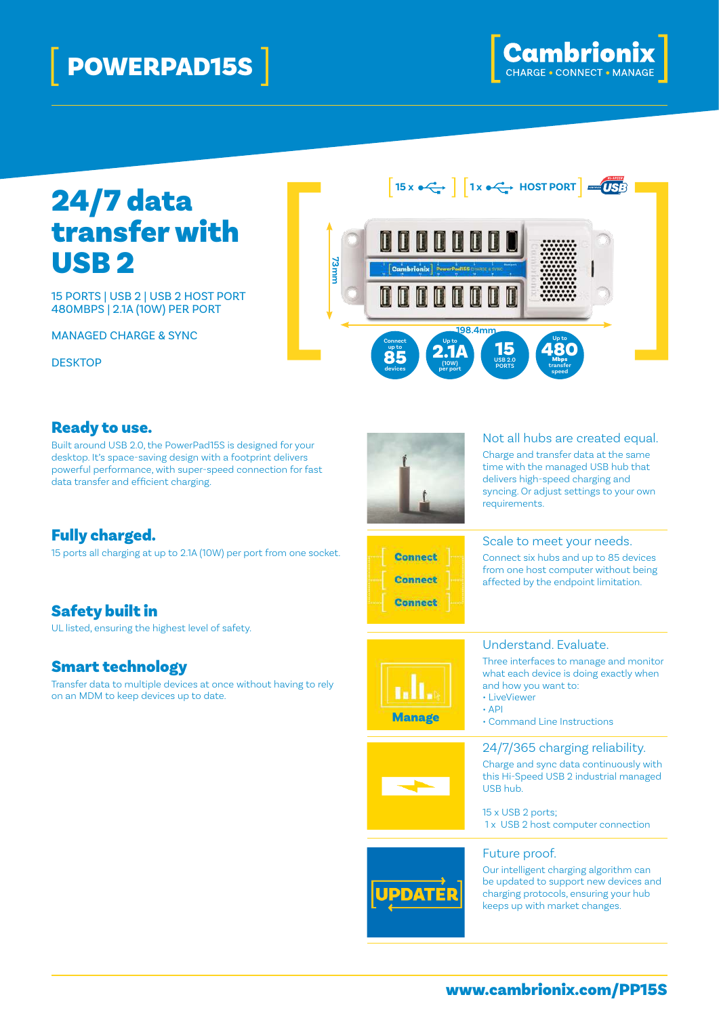# [ POWERPAD15S ]



# 24/7 data transfer with USB<sub>2</sub>

15 PORTS | USB 2 | USB 2 HOST PORT 480MBPS | 2.1A (10W) PER PORT

MANAGED CHARGE & SYNC

**DESKTOP** 



#### Ready to use.

Built around USB 2.0, the PowerPad15S is designed for your desktop. It's space-saving design with a footprint delivers powerful performance, with super-speed connection for fast data transfer and efficient charging.

Fully charged. 15 ports all charging at up to 2.1A (10W) per port from one socket.

## Safety built in

UL listed, ensuring the highest level of safety.

#### Smart technology

Transfer data to multiple devices at once without having to rely on an MDM to keep devices up to date.



#### Not all hubs are created equal.

Charge and transfer data at the same time with the managed USB hub that delivers high-speed charging and syncing. Or adjust settings to your own requirements.



## Scale to meet your needs.

Connect six hubs and up to 85 devices from one host computer without being affected by the endpoint limitation.



#### Understand. Evaluate.

Three interfaces to manage and monitor what each device is doing exactly when and how you want to:

- LiveViewer
- $\cdot$  API
- Command Line Instructions

#### 24/7/365 charging reliability.

Charge and sync data continuously with this Hi-Speed USB 2 industrial managed USB hub.

15 x USB 2 ports; 1 x USB 2 host computer connection

#### Future proof.

Our intelligent charging algorithm can be updated to support new devices and charging protocols, ensuring your hub keeps up with market changes.